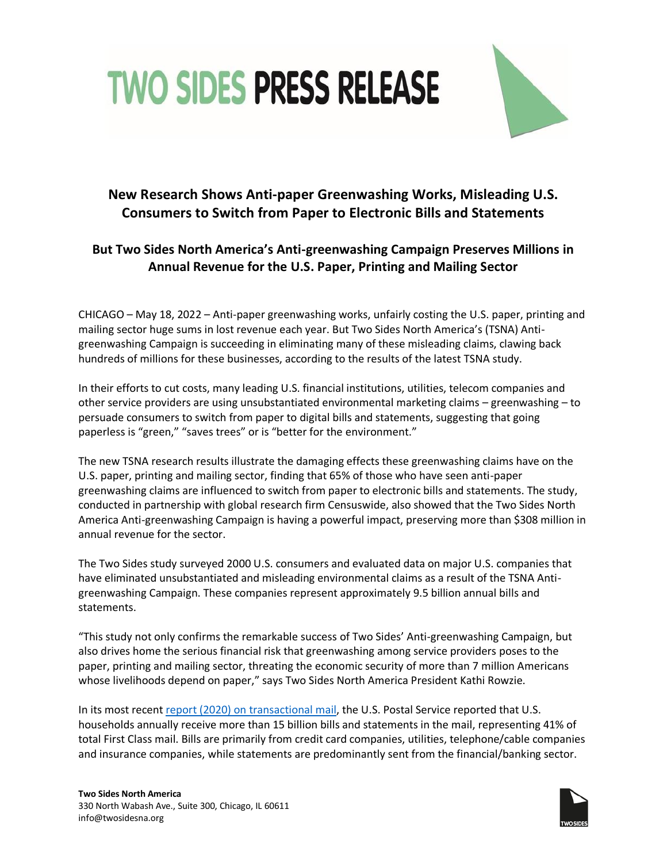



## **New Research Shows Anti-paper Greenwashing Works, Misleading U.S. Consumers to Switch from Paper to Electronic Bills and Statements**

## **But Two Sides North America's Anti-greenwashing Campaign Preserves Millions in Annual Revenue for the U.S. Paper, Printing and Mailing Sector**

CHICAGO – May 18, 2022 – Anti-paper greenwashing works, unfairly costing the U.S. paper, printing and mailing sector huge sums in lost revenue each year. But Two Sides North America's (TSNA) Antigreenwashing Campaign is succeeding in eliminating many of these misleading claims, clawing back hundreds of millions for these businesses, according to the results of the latest TSNA study.

In their efforts to cut costs, many leading U.S. financial institutions, utilities, telecom companies and other service providers are using unsubstantiated environmental marketing claims – greenwashing – to persuade consumers to switch from paper to digital bills and statements, suggesting that going paperless is "green," "saves trees" or is "better for the environment."

The new TSNA research results illustrate the damaging effects these greenwashing claims have on the U.S. paper, printing and mailing sector, finding that 65% of those who have seen anti-paper greenwashing claims are influenced to switch from paper to electronic bills and statements. The study, conducted in partnership with global research firm Censuswide, also showed that the Two Sides North America Anti-greenwashing Campaign is having a powerful impact, preserving more than \$308 million in annual revenue for the sector.

The Two Sides study surveyed 2000 U.S. consumers and evaluated data on major U.S. companies that have eliminated unsubstantiated and misleading environmental claims as a result of the TSNA Antigreenwashing Campaign. These companies represent approximately 9.5 billion annual bills and statements.

"This study not only confirms the remarkable success of Two Sides' Anti-greenwashing Campaign, but also drives home the serious financial risk that greenwashing among service providers poses to the paper, printing and mailing sector, threating the economic security of more than 7 million Americans whose livelihoods depend on paper," says Two Sides North America President Kathi Rowzie.

In its most recent [report \(2020\) on transactional mail,](https://www.prc.gov/docs/113/113300/2019%20Household%20Diary%20Study_Final.pdf) the U.S. Postal Service reported that U.S. households annually receive more than 15 billion bills and statements in the mail, representing 41% of total First Class mail. Bills are primarily from credit card companies, utilities, telephone/cable companies and insurance companies, while statements are predominantly sent from the financial/banking sector.